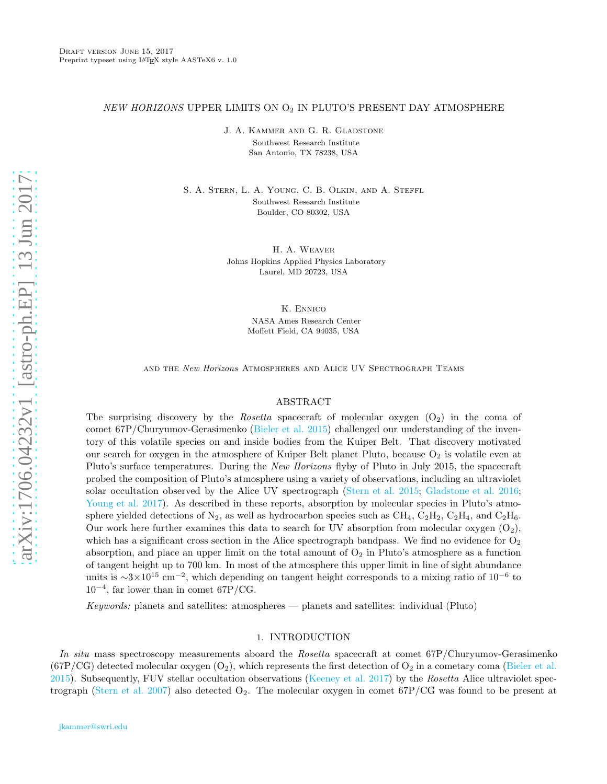# $NEW\ HORIZONS$  UPPER LIMITS ON  $\mathrm{O}_2$  IN PLUTO'S PRESENT DAY ATMOSPHERE

J. A. Kammer and G. R. Gladstone Southwest Research Institute San Antonio, TX 78238, USA

S. A. Stern, L. A. Young, C. B. Olkin, and A. Steffl Southwest Research Institute Boulder, CO 80302, USA

> H. A. Weaver Johns Hopkins Applied Physics Laboratory Laurel, MD 20723, USA

> > K. Ennico NASA Ames Research Center Moffett Field, CA 94035, USA

and the New Horizons Atmospheres and Alice UV Spectrograph Teams

### ABSTRACT

The surprising discovery by the *Rosetta* spacecraft of molecular oxygen  $(O_2)$  in the coma of comet 67P/Churyumov-Gerasimenko [\(Bieler et al. 2015\)](#page-4-0) challenged our understanding of the inventory of this volatile species on and inside bodies from the Kuiper Belt. That discovery motivated our search for oxygen in the atmosphere of Kuiper Belt planet Pluto, because  $O_2$  is volatile even at Pluto's surface temperatures. During the New Horizons flyby of Pluto in July 2015, the spacecraft probed the composition of Pluto's atmosphere using a variety of observations, including an ultraviolet solar occultation observed by the Alice UV spectrograph [\(Stern et al. 2015;](#page-4-1) [Gladstone et al. 2016](#page-4-2); [Young et al. 2017\)](#page-4-3). As described in these reports, absorption by molecular species in Pluto's atmosphere yielded detections of  $N_2$ , as well as hydrocarbon species such as CH<sub>4</sub>, C<sub>2</sub>H<sub>2</sub>, C<sub>2</sub>H<sub>4</sub>, and C<sub>2</sub>H<sub>6</sub>. Our work here further examines this data to search for UV absorption from molecular oxygen  $(O_2)$ , which has a significant cross section in the Alice spectrograph bandpass. We find no evidence for  $O_2$ absorption, and place an upper limit on the total amount of  $O_2$  in Pluto's atmosphere as a function of tangent height up to 700 km. In most of the atmosphere this upper limit in line of sight abundance units is  $\sim 3 \times 10^{15}$  cm<sup>-2</sup>, which depending on tangent height corresponds to a mixing ratio of 10<sup>-6</sup> to 10<sup>−</sup><sup>4</sup> , far lower than in comet 67P/CG.

Keywords: planets and satellites: atmospheres — planets and satellites: individual (Pluto)

## 1. INTRODUCTION

In situ mass spectroscopy measurements aboard the Rosetta spacecraft at comet 67P/Churyumov-Gerasimenko  $(67P/CG)$  detected molecular oxygen  $(O_2)$ , which represents the first detection of  $O_2$  in a cometary coma [\(Bieler et al.](#page-4-0)  $2015$ ). Subsequently, FUV stellar occultation observations [\(Keeney et al. 2017](#page-4-4)) by the Rosetta Alice ultraviolet spec-trograph [\(Stern et al. 2007\)](#page-4-5) also detected  $O_2$ . The molecular oxygen in comet 67P/CG was found to be present at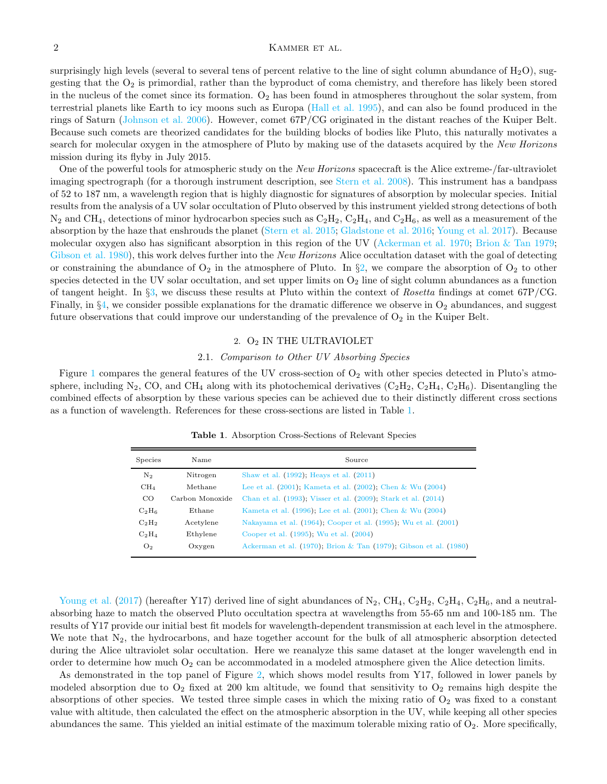surprisingly high levels (several to several tens of percent relative to the line of sight column abundance of  $H_2O$ ), suggesting that the  $O_2$  is primordial, rather than the byproduct of coma chemistry, and therefore has likely been stored in the nucleus of the comet since its formation.  $O_2$  has been found in atmospheres throughout the solar system, from terrestrial planets like Earth to icy moons such as Europa [\(Hall et al. 1995](#page-4-6)), and can also be found produced in the rings of Saturn [\(Johnson et al. 2006\)](#page-4-7). However, comet 67P/CG originated in the distant reaches of the Kuiper Belt. Because such comets are theorized candidates for the building blocks of bodies like Pluto, this naturally motivates a search for molecular oxygen in the atmosphere of Pluto by making use of the datasets acquired by the New Horizons mission during its flyby in July 2015.

One of the powerful tools for atmospheric study on the New Horizons spacecraft is the Alice extreme-/far-ultraviolet imaging spectrograph (for a thorough instrument description, see [Stern et al. 2008](#page-4-8)). This instrument has a bandpass of 52 to 187 nm, a wavelength region that is highly diagnostic for signatures of absorption by molecular species. Initial results from the analysis of a UV solar occultation of Pluto observed by this instrument yielded strong detections of both  $N_2$  and CH<sub>4</sub>, detections of minor hydrocarbon species such as  $C_2H_2$ ,  $C_2H_4$ , and  $C_2H_6$ , as well as a measurement of the absorption by the haze that enshrouds the planet [\(Stern et al. 2015;](#page-4-1) [Gladstone et al. 2016;](#page-4-2) [Young et al. 2017\)](#page-4-3). Because molecular oxygen also has significant absorption in this region of the UV [\(Ackerman et al. 1970;](#page-4-9) [Brion & Tan 1979](#page-4-10); [Gibson et al. 1980\)](#page-4-11), this work delves further into the New Horizons Alice occultation dataset with the goal of detecting or constraining the abundance of  $O_2$  in the atmosphere of Pluto. In §[2,](#page-1-0) we compare the absorption of  $O_2$  to other species detected in the UV solar occultation, and set upper limits on  $O_2$  line of sight column abundances as a function of tangent height. In  $\S$ [3,](#page-3-0) we discuss these results at Pluto within the context of Rosetta findings at comet 67P/CG. Finally, in  $\S_4$ , we consider possible explanations for the dramatic difference we observe in  $O_2$  abundances, and suggest future observations that could improve our understanding of the prevalence of  $O_2$  in the Kuiper Belt.

## 2.  $O<sub>2</sub>$  IN THE ULTRAVIOLET

#### 2.1. Comparison to Other UV Absorbing Species

<span id="page-1-1"></span><span id="page-1-0"></span>Figure [1](#page-2-0) compares the general features of the UV cross-section of  $O_2$  with other species detected in Pluto's atmosphere, including N<sub>2</sub>, CO, and CH<sub>4</sub> along with its photochemical derivatives  $(C_2H_2, C_2H_4, C_2H_6)$ . Disentangling the combined effects of absorption by these various species can be achieved due to their distinctly different cross sections as a function of wavelength. References for these cross-sections are listed in Table [1.](#page-1-1)

| <b>Species</b>  | Name            | Source                                                                   |
|-----------------|-----------------|--------------------------------------------------------------------------|
| N <sub>2</sub>  | Nitrogen        | Shaw et al. (1992); Heays et al. (2011)                                  |
| CH <sub>4</sub> | Methane         | Lee et al. $(2001)$ , Kameta et al. $(2002)$ , Chen & Wu $(2004)$        |
| CO              | Carbon Monoxide | Chan et al. (1993), Visser et al. (2009), Stark et al. (2014)            |
| $C_2H_6$        | Ethane          | Kameta et al. (1996); Lee et al. (2001); Chen & Wu (2004)                |
| $C_2H_2$        | Acetylene       | Nakayama et al. (1964), Cooper et al. (1995), Wu et al. (2001)           |
| $C_2H_4$        | Ethylene        | Cooper et al. (1995); Wu et al. (2004)                                   |
| O <sub>2</sub>  | Oxygen          | Ackerman et al. $(1970)$ ; Brion & Tan $(1979)$ ; Gibson et al. $(1980)$ |

Table 1. Absorption Cross-Sections of Relevant Species

[Young et al.](#page-4-3) [\(2017\)](#page-4-3) (hereafter Y17) derived line of sight abundances of  $N_2$ , CH<sub>4</sub>, C<sub>2</sub>H<sub>2</sub>, C<sub>2</sub>H<sub>4</sub>, C<sub>2</sub>H<sub>6</sub>, and a neutralabsorbing haze to match the observed Pluto occultation spectra at wavelengths from 55-65 nm and 100-185 nm. The results of Y17 provide our initial best fit models for wavelength-dependent transmission at each level in the atmosphere. We note that  $N_2$ , the hydrocarbons, and haze together account for the bulk of all atmospheric absorption detected during the Alice ultraviolet solar occultation. Here we reanalyze this same dataset at the longer wavelength end in order to determine how much  $O_2$  can be accommodated in a modeled atmosphere given the Alice detection limits.

As demonstrated in the top panel of Figure [2,](#page-2-1) which shows model results from Y17, followed in lower panels by modeled absorption due to  $O_2$  fixed at 200 km altitude, we found that sensitivity to  $O_2$  remains high despite the absorptions of other species. We tested three simple cases in which the mixing ratio of  $O_2$  was fixed to a constant value with altitude, then calculated the effect on the atmospheric absorption in the UV, while keeping all other species abundances the same. This yielded an initial estimate of the maximum tolerable mixing ratio of  $O_2$ . More specifically,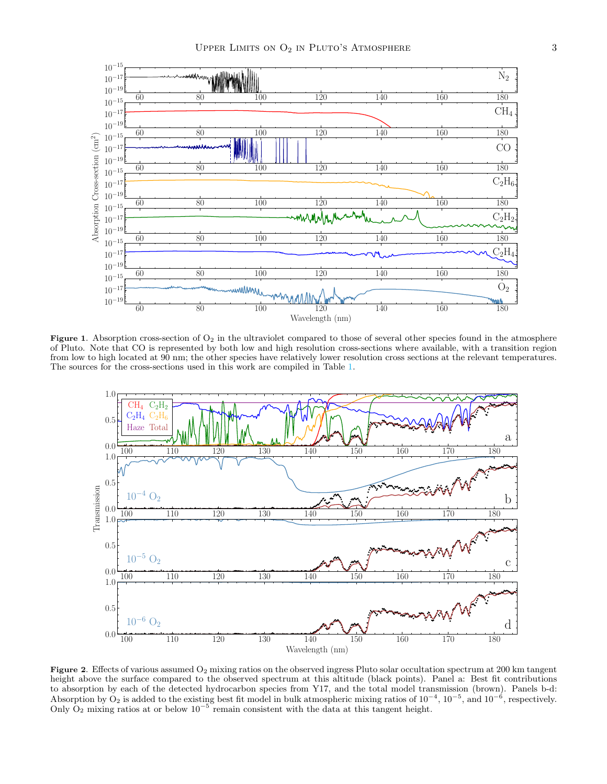

Figure 1. Absorption cross-section of  $O_2$  in the ultraviolet compared to those of several other species found in the atmosphere of Pluto. Note that CO is represented by both low and high resolution cross-sections where available, with a transition region from low to high located at 90 nm; the other species have relatively lower resolution cross sections at the relevant temperatures. The sources for the cross-sections used in this work are compiled in Table [1.](#page-1-1)

<span id="page-2-0"></span>

<span id="page-2-1"></span>Figure 2. Effects of various assumed O<sub>2</sub> mixing ratios on the observed ingress Pluto solar occultation spectrum at 200 km tangent height above the surface compared to the observed spectrum at this altitude (black points). Panel a: Best fit contributions to absorption by each of the detected hydrocarbon species from Y17, and the total model transmission (brown). Panels b-d: Absorption by  $O_2$  is added to the existing best fit model in bulk atmospheric mixing ratios of  $10^{-4}$ ,  $10^{-5}$ , and  $10^{-6}$ , respectively. Only  $O_2$  mixing ratios at or below  $10^{-5}$  remain consistent with the data at this tangent height.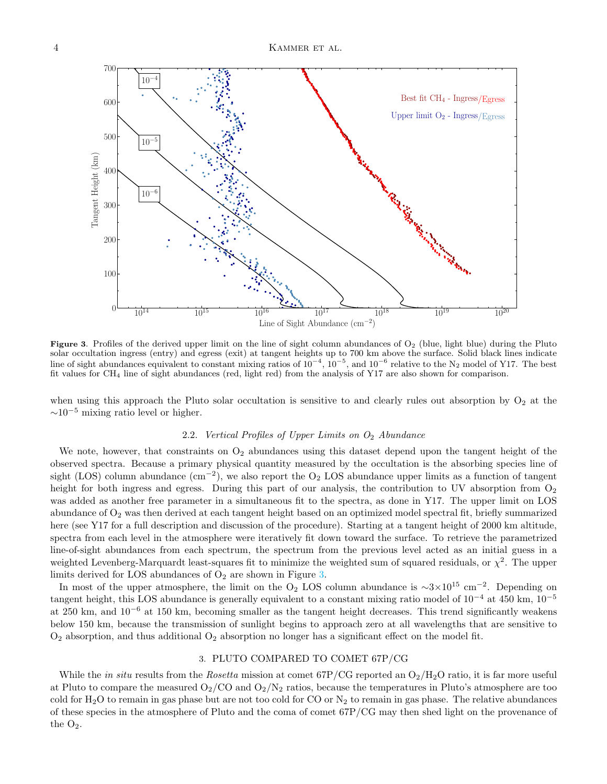

<span id="page-3-1"></span>Figure 3. Profiles of the derived upper limit on the line of sight column abundances of  $O_2$  (blue, light blue) during the Pluto solar occultation ingress (entry) and egress (exit) at tangent heights up to 700 km above the surface. Solid black lines indicate line of sight abundances equivalent to constant mixing ratios of  $10^{-4}$ ,  $10^{-5}$ , and  $10^{-6}$  relative to the N<sub>2</sub> model of Y17. The best fit values for CH<sup>4</sup> line of sight abundances (red, light red) from the analysis of Y17 are also shown for comparison.

when using this approach the Pluto solar occultation is sensitive to and clearly rules out absorption by  $O_2$  at the  $\sim 10^{-5}$  mixing ratio level or higher.

# 2.2. Vertical Profiles of Upper Limits on  $O_2$  Abundance

We note, however, that constraints on  $O_2$  abundances using this dataset depend upon the tangent height of the observed spectra. Because a primary physical quantity measured by the occultation is the absorbing species line of sight (LOS) column abundance  $(\text{cm}^{-2})$ , we also report the O<sub>2</sub> LOS abundance upper limits as a function of tangent height for both ingress and egress. During this part of our analysis, the contribution to UV absorption from  $O_2$ was added as another free parameter in a simultaneous fit to the spectra, as done in Y17. The upper limit on LOS abundance of  $O_2$  was then derived at each tangent height based on an optimized model spectral fit, briefly summarized here (see Y17 for a full description and discussion of the procedure). Starting at a tangent height of 2000 km altitude, spectra from each level in the atmosphere were iteratively fit down toward the surface. To retrieve the parametrized line-of-sight abundances from each spectrum, the spectrum from the previous level acted as an initial guess in a weighted Levenberg-Marquardt least-squares fit to minimize the weighted sum of squared residuals, or  $\chi^2$ . The upper limits derived for LOS abundances of  $O<sub>2</sub>$  are shown in Figure [3.](#page-3-1)

In most of the upper atmosphere, the limit on the O<sub>2</sub> LOS column abundance is  $\sim$ 3×10<sup>15</sup> cm<sup>-2</sup>. Depending on tangent height, this LOS abundance is generally equivalent to a constant mixing ratio model of 10<sup>−</sup><sup>4</sup> at 450 km, 10<sup>−</sup><sup>5</sup> at 250 km, and  $10^{-6}$  at 150 km, becoming smaller as the tangent height decreases. This trend significantly weakens below 150 km, because the transmission of sunlight begins to approach zero at all wavelengths that are sensitive to  $O_2$  absorption, and thus additional  $O_2$  absorption no longer has a significant effect on the model fit.

### 3. PLUTO COMPARED TO COMET 67P/CG

<span id="page-3-0"></span>While the in situ results from the Rosetta mission at comet  $67P/CG$  reported an  $O_2/H_2O$  ratio, it is far more useful at Pluto to compare the measured  $O_2/CO$  and  $O_2/N_2$  ratios, because the temperatures in Pluto's atmosphere are too cold for  $H_2O$  to remain in gas phase but are not too cold for CO or  $N_2$  to remain in gas phase. The relative abundances of these species in the atmosphere of Pluto and the coma of comet 67P/CG may then shed light on the provenance of the  $O_2$ .